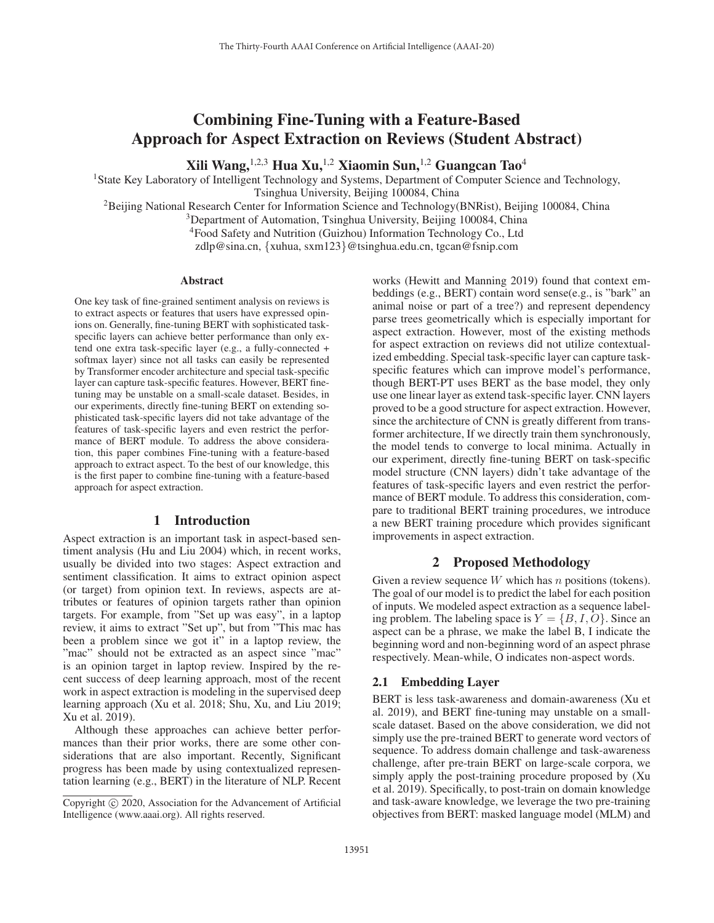# Combining Fine-Tuning with a Feature-Based Approach for Aspect Extraction on Reviews (Student Abstract)

Xili Wang, <sup>1,2,3</sup> Hua Xu, <sup>1,2</sup> Xiaomin Sun, <sup>1,2</sup> Guangcan Tao<sup>4</sup>

<sup>1</sup>State Key Laboratory of Intelligent Technology and Systems, Department of Computer Science and Technology,

Tsinghua University, Beijing 100084, China

2Beijing National Research Center for Information Science and Technology(BNRist), Beijing 100084, China

<sup>3</sup>Department of Automation, Tsinghua University, Beijing 100084, China

4Food Safety and Nutrition (Guizhou) Information Technology Co., Ltd

zdlp@sina.cn, {xuhua, sxm123}@tsinghua.edu.cn, tgcan@fsnip.com

#### Abstract

One key task of fine-grained sentiment analysis on reviews is to extract aspects or features that users have expressed opinions on. Generally, fine-tuning BERT with sophisticated taskspecific layers can achieve better performance than only extend one extra task-specific layer (e.g., a fully-connected + softmax layer) since not all tasks can easily be represented by Transformer encoder architecture and special task-specific layer can capture task-specific features. However, BERT finetuning may be unstable on a small-scale dataset. Besides, in our experiments, directly fine-tuning BERT on extending sophisticated task-specific layers did not take advantage of the features of task-specific layers and even restrict the performance of BERT module. To address the above consideration, this paper combines Fine-tuning with a feature-based approach to extract aspect. To the best of our knowledge, this is the first paper to combine fine-tuning with a feature-based approach for aspect extraction.

## 1 Introduction

Aspect extraction is an important task in aspect-based sentiment analysis (Hu and Liu 2004) which, in recent works, usually be divided into two stages: Aspect extraction and sentiment classification. It aims to extract opinion aspect (or target) from opinion text. In reviews, aspects are attributes or features of opinion targets rather than opinion targets. For example, from "Set up was easy", in a laptop review, it aims to extract "Set up", but from "This mac has been a problem since we got it" in a laptop review, the "mac" should not be extracted as an aspect since "mac" is an opinion target in laptop review. Inspired by the recent success of deep learning approach, most of the recent work in aspect extraction is modeling in the supervised deep learning approach (Xu et al. 2018; Shu, Xu, and Liu 2019; Xu et al. 2019).

Although these approaches can achieve better performances than their prior works, there are some other considerations that are also important. Recently, Significant progress has been made by using contextualized representation learning (e.g., BERT) in the literature of NLP. Recent

works (Hewitt and Manning 2019) found that context embeddings (e.g., BERT) contain word sense(e.g., is "bark" an animal noise or part of a tree?) and represent dependency parse trees geometrically which is especially important for aspect extraction. However, most of the existing methods for aspect extraction on reviews did not utilize contextualized embedding. Special task-specific layer can capture taskspecific features which can improve model's performance, though BERT-PT uses BERT as the base model, they only use one linear layer as extend task-specific layer. CNN layers proved to be a good structure for aspect extraction. However, since the architecture of CNN is greatly different from transformer architecture, If we directly train them synchronously, the model tends to converge to local minima. Actually in our experiment, directly fine-tuning BERT on task-specific model structure (CNN layers) didn't take advantage of the features of task-specific layers and even restrict the performance of BERT module. To address this consideration, compare to traditional BERT training procedures, we introduce a new BERT training procedure which provides significant improvements in aspect extraction.

## 2 Proposed Methodology

Given a review sequence  $W$  which has  $n$  positions (tokens). The goal of our model is to predict the label for each position of inputs. We modeled aspect extraction as a sequence labeling problem. The labeling space is  $Y = \{B, I, O\}$ . Since an aspect can be a phrase, we make the label B, I indicate the beginning word and non-beginning word of an aspect phrase respectively. Mean-while, O indicates non-aspect words.

#### 2.1 Embedding Layer

BERT is less task-awareness and domain-awareness (Xu et al. 2019), and BERT fine-tuning may unstable on a smallscale dataset. Based on the above consideration, we did not simply use the pre-trained BERT to generate word vectors of sequence. To address domain challenge and task-awareness challenge, after pre-train BERT on large-scale corpora, we simply apply the post-training procedure proposed by (Xu et al. 2019). Specifically, to post-train on domain knowledge and task-aware knowledge, we leverage the two pre-training objectives from BERT: masked language model (MLM) and

Copyright  $\odot$  2020, Association for the Advancement of Artificial Intelligence (www.aaai.org). All rights reserved.